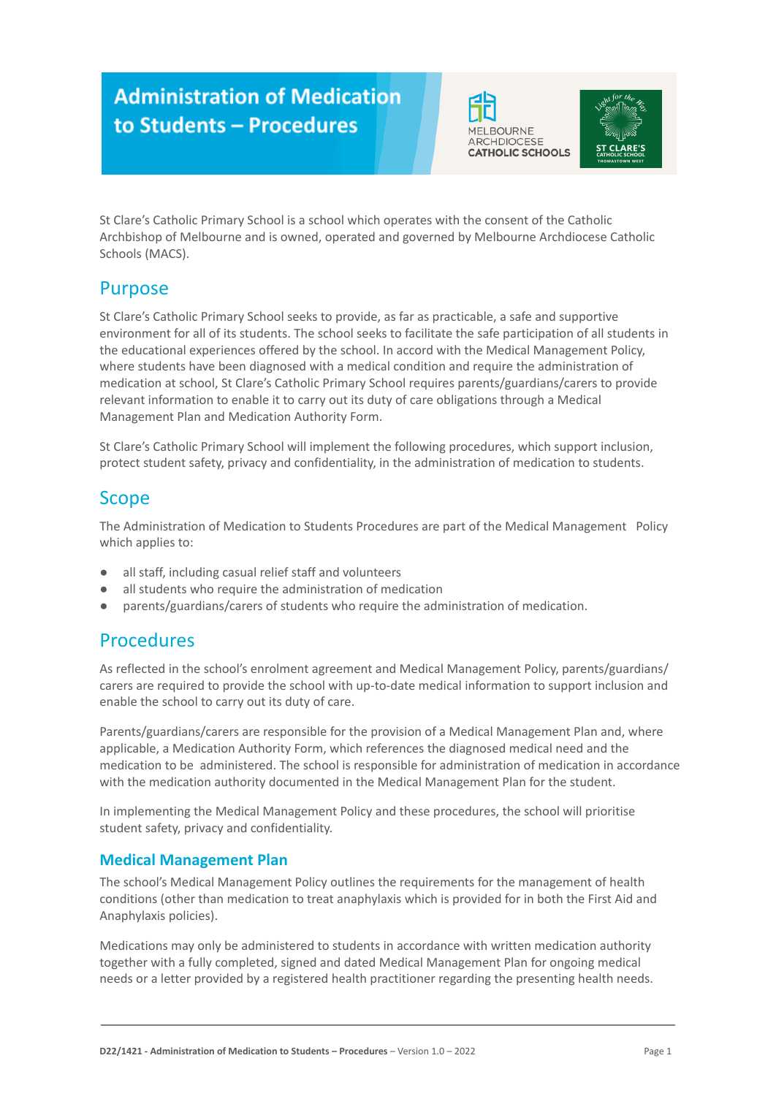# **Administration of Medication** to Students - Procedures





St Clare's Catholic Primary School is a school which operates with the consent of the Catholic Archbishop of Melbourne and is owned, operated and governed by Melbourne Archdiocese Catholic Schools (MACS).

## Purpose

St Clare's Catholic Primary School seeks to provide, as far as practicable, a safe and supportive environment for all of its students. The school seeks to facilitate the safe participation of all students in the educational experiences offered by the school. In accord with the Medical Management Policy, where students have been diagnosed with a medical condition and require the administration of medication at school, St Clare's Catholic Primary School requires parents/guardians/carers to provide relevant information to enable it to carry out its duty of care obligations through a Medical Management Plan and Medication Authority Form.

St Clare's Catholic Primary School will implement the following procedures, which support inclusion, protect student safety, privacy and confidentiality, in the administration of medication to students.

### Scope

The Administration of Medication to Students Procedures are part of the Medical Management Policy which applies to:

- all staff, including casual relief staff and volunteers
- all students who require the administration of medication
- parents/guardians/carers of students who require the administration of medication.

### Procedures

As reflected in the school's enrolment agreement and Medical Management Policy, parents/guardians/ carers are required to provide the school with up-to-date medical information to support inclusion and enable the school to carry out its duty of care.

Parents/guardians/carers are responsible for the provision of a Medical Management Plan and, where applicable, a Medication Authority Form, which references the diagnosed medical need and the medication to be administered. The school is responsible for administration of medication in accordance with the medication authority documented in the Medical Management Plan for the student.

In implementing the Medical Management Policy and these procedures, the school will prioritise student safety, privacy and confidentiality.

### **Medical Management Plan**

The school's Medical Management Policy outlines the requirements for the management of health conditions (other than medication to treat anaphylaxis which is provided for in both the First Aid and Anaphylaxis policies).

Medications may only be administered to students in accordance with written medication authority together with a fully completed, signed and dated Medical Management Plan for ongoing medical needs or a letter provided by a registered health practitioner regarding the presenting health needs.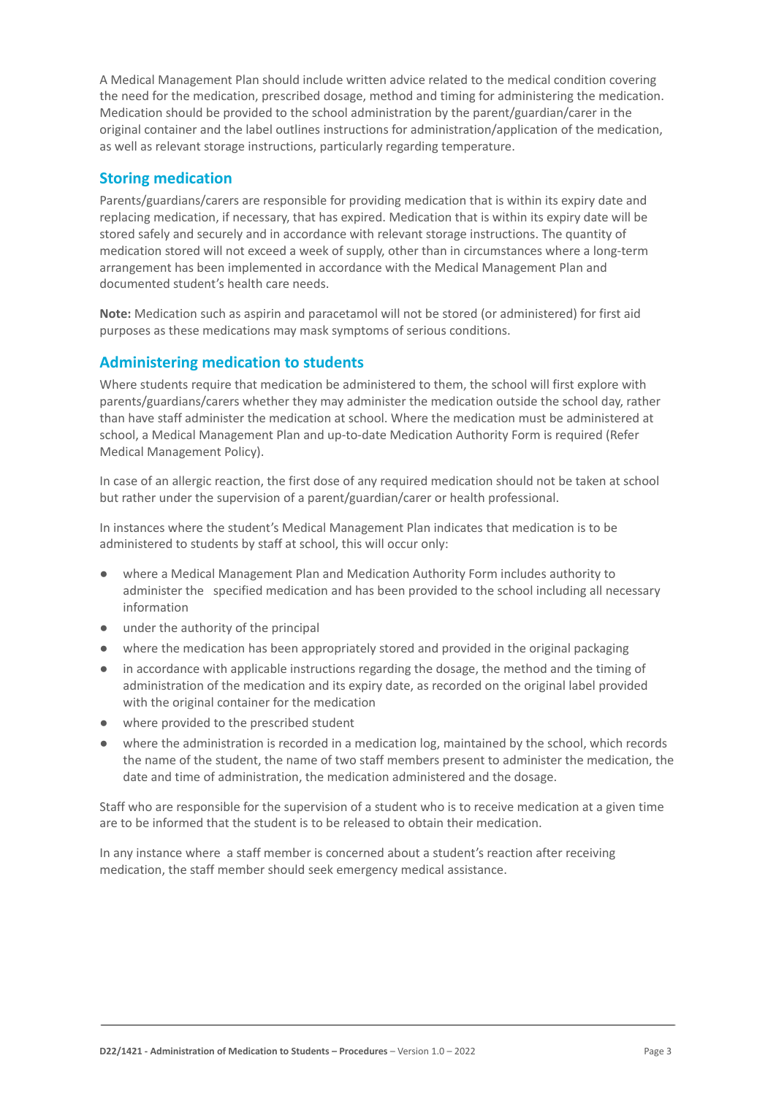A Medical Management Plan should include written advice related to the medical condition covering the need for the medication, prescribed dosage, method and timing for administering the medication. Medication should be provided to the school administration by the parent/guardian/carer in the original container and the label outlines instructions for administration/application of the medication, as well as relevant storage instructions, particularly regarding temperature.

#### **Storing medication**

Parents/guardians/carers are responsible for providing medication that is within its expiry date and replacing medication, if necessary, that has expired. Medication that is within its expiry date will be stored safely and securely and in accordance with relevant storage instructions. The quantity of medication stored will not exceed a week of supply, other than in circumstances where a long-term arrangement has been implemented in accordance with the Medical Management Plan and documented student's health care needs.

**Note:** Medication such as aspirin and paracetamol will not be stored (or administered) for first aid purposes as these medications may mask symptoms of serious conditions.

### **Administering medication to students**

Where students require that medication be administered to them, the school will first explore with parents/guardians/carers whether they may administer the medication outside the school day, rather than have staff administer the medication at school. Where the medication must be administered at school, a Medical Management Plan and up-to-date Medication Authority Form is required (Refer Medical Management Policy).

In case of an allergic reaction, the first dose of any required medication should not be taken at school but rather under the supervision of a parent/guardian/carer or health professional.

In instances where the student's Medical Management Plan indicates that medication is to be administered to students by staff at school, this will occur only:

- where a Medical Management Plan and Medication Authority Form includes authority to administer the specified medication and has been provided to the school including all necessary information
- under the authority of the principal
- where the medication has been appropriately stored and provided in the original packaging
- in accordance with applicable instructions regarding the dosage, the method and the timing of administration of the medication and its expiry date, as recorded on the original label provided with the original container for the medication
- where provided to the prescribed student
- where the administration is recorded in a medication log, maintained by the school, which records the name of the student, the name of two staff members present to administer the medication, the date and time of administration, the medication administered and the dosage.

Staff who are responsible for the supervision of a student who is to receive medication at a given time are to be informed that the student is to be released to obtain their medication.

In any instance where a staff member is concerned about a student's reaction after receiving medication, the staff member should seek emergency medical assistance.